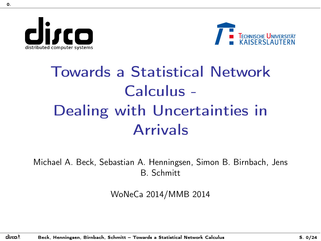distributed computer systems

<span id="page-0-0"></span>0.



# Towards a Statistical Network Calculus - Dealing with Uncertainties in Arrivals

Michael A. Beck, Sebastian A. Henningsen, Simon B. Birnbach, Jens B. Schmitt

WoNeCa 2014/MMB 2014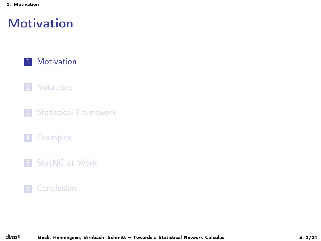### <span id="page-1-0"></span>**[Motivation](#page-1-0)**

#### 1 [Motivation](#page-1-0)

#### 2 [Notations](#page-9-0)

**3** [Statistical Framework](#page-15-0)

#### 4 [Examples](#page-18-0)

5 [StatNC at Work](#page-22-0)

#### 6 [Conclusion](#page-35-0)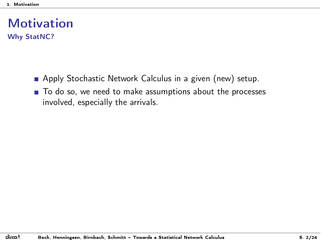- <span id="page-2-0"></span>Apply Stochastic Network Calculus in a given (new) setup.
- $\blacksquare$  To do so, we need to make assumptions about the processes involved, especially the arrivals.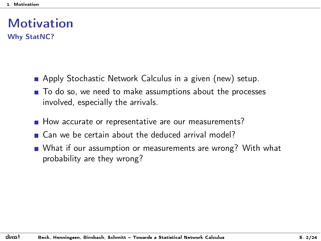- <span id="page-3-0"></span>**Apply Stochastic Network Calculus in a given (new) setup.**
- To do so, we need to make assumptions about the processes involved, especially the arrivals.
- How accurate or representative are our measurements?
- Can we be certain about the deduced arrival model?
- What if our assumption or measurements are wrong? With what probability are they wrong?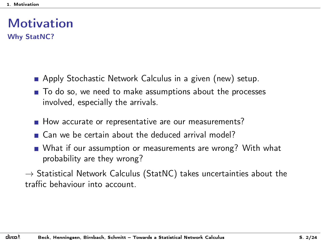- <span id="page-4-0"></span>**Apply Stochastic Network Calculus in a given (new) setup.**
- To do so, we need to make assumptions about the processes involved, especially the arrivals.
- How accurate or representative are our measurements?
- Can we be certain about the deduced arrival model?
- What if our assumption or measurements are wrong? With what probability are they wrong?
- $\rightarrow$  Statistical Network Calculus (StatNC) takes uncertainties about the traffic behaviour into account.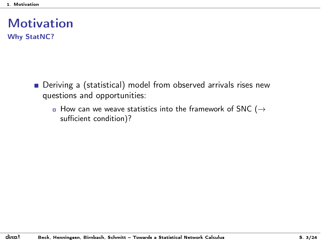- <span id="page-5-0"></span>Deriving a (statistical) model from observed arrivals rises new questions and opportunities:
	- $\overline{a}$  How can we weave statistics into the framework of SNC ( $\rightarrow$ sufficient condition)?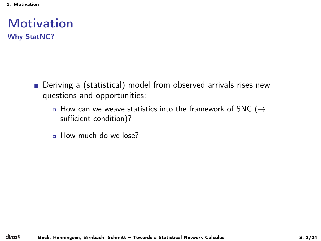- <span id="page-6-0"></span>Deriving a (statistical) model from observed arrivals rises new questions and opportunities:
	- $\overline{a}$  How can we weave statistics into the framework of SNC ( $\rightarrow$ sufficient condition)?
	- n How much do we lose?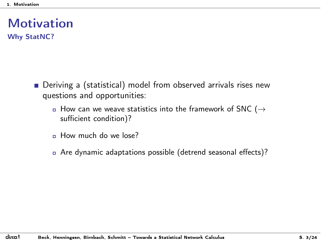- <span id="page-7-0"></span>**Deriving a (statistical) model from observed arrivals rises new** questions and opportunities:
	- $\overline{a}$  How can we weave statistics into the framework of SNC ( $\rightarrow$ sufficient condition)?
	- n How much do we lose?
	- <sup>ó</sup> Are dynamic adaptations possible (detrend seasonal effects)?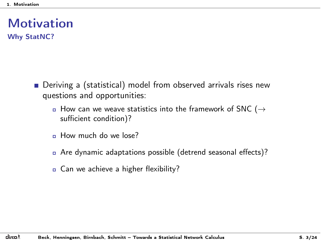- <span id="page-8-0"></span>■ Deriving a (statistical) model from observed arrivals rises new questions and opportunities:
	- $\overline{a}$  How can we weave statistics into the framework of SNC ( $\rightarrow$ sufficient condition)?
	- n How much do we lose?
	- <sup>ó</sup> Are dynamic adaptations possible (detrend seasonal effects)?
	- **a** Can we achieve a higher flexibility?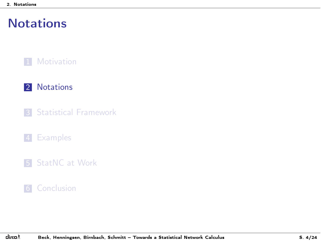#### <span id="page-9-0"></span>**1** [Motivation](#page-1-0)

#### 2 [Notations](#page-9-0)

**3** [Statistical Framework](#page-15-0)

#### 4 [Examples](#page-18-0)

5 [StatNC at Work](#page-22-0)

#### **6** [Conclusion](#page-35-0)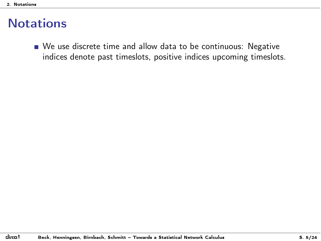<span id="page-10-0"></span>We use discrete time and allow data to be continuous: Negative indices denote past timeslots, positive indices upcoming timeslots.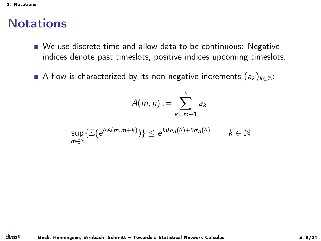- <span id="page-11-0"></span>We use discrete time and allow data to be continuous: Negative indices denote past timeslots, positive indices upcoming timeslots.
- A flow is characterized by its non-negative increments  $(a_k)_{k \in \mathbb{Z}}$ :

$$
A(m,n):=\sum_{k=m+1}^n a_k
$$

$$
\sup_{m\in\mathbb{Z}}\{\mathbb{E}(e^{\theta A(m,m+k)})\}\leq e^{k\theta\rho_A(\theta)+\theta\sigma_A(\theta)} \qquad k\in\mathbb{N}
$$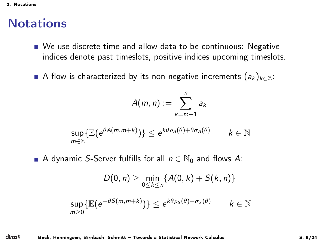- <span id="page-12-0"></span>We use discrete time and allow data to be continuous: Negative indices denote past timeslots, positive indices upcoming timeslots.
- A flow is characterized by its non-negative increments  $(a_k)_{k \in \mathbb{Z}}$ :

$$
A(m,n):=\sum_{k=m+1}^n a_k
$$

$$
\sup_{m\in\mathbb{Z}}\{\mathbb{E}(e^{\theta A(m,m+k)})\}\leq e^{k\theta\rho_A(\theta)+\theta\sigma_A(\theta)} \qquad k\in\mathbb{N}
$$

A dynamic *S*-Server fulfills for all  $n \in \mathbb{N}_0$  and flows A:

$$
D(0, n) \geq \min_{0 \leq k \leq n} \{ A(0, k) + S(k, n) \}
$$
  
\n
$$
\sup_{m \geq 0} \{ \mathbb{E}(e^{-\theta S(m, m + k)}) \} \leq e^{k\theta \rho_S(\theta) + \sigma_S(\theta)} \qquad k \in \mathbb{N}
$$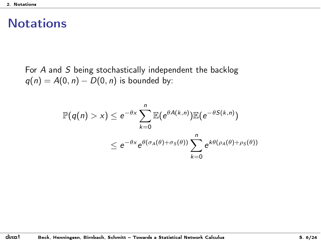<span id="page-13-0"></span>For *A* and *S* being stochastically independent the backlog  $q(n) = A(0, n) - D(0, n)$  is bounded by:

$$
\mathbb{P}(q(n) > x) \le e^{-\theta x} \sum_{k=0}^{n} \mathbb{E}(e^{\theta A(k,n)}) \mathbb{E}(e^{-\theta S(k,n)})
$$
  

$$
\le e^{-\theta x} e^{\theta(\sigma_A(\theta) + \sigma_S(\theta))} \sum_{k=0}^{n} e^{k\theta(\rho_A(\theta) + \rho_S(\theta))}
$$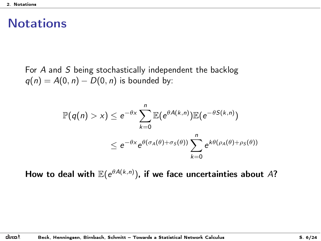<span id="page-14-0"></span>For *A* and *S* being stochastically independent the backlog  $q(n) = A(0, n) - D(0, n)$  is bounded by:

$$
\mathbb{P}(q(n) > x) \le e^{-\theta x} \sum_{k=0}^{n} \mathbb{E}(e^{\theta A(k,n)}) \mathbb{E}(e^{-\theta S(k,n)})
$$
  

$$
\le e^{-\theta x} e^{\theta(\sigma_A(\theta) + \sigma_S(\theta))} \sum_{k=0}^{n} e^{k\theta(\rho_A(\theta) + \rho_S(\theta))}
$$

How to deal with  $\mathbb{E}(e^{\theta A(k,n)})$ , if we face uncertainties about  $A$ ?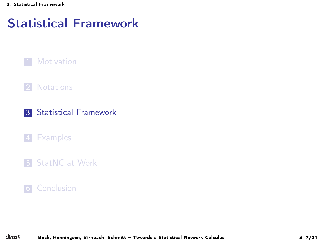### <span id="page-15-0"></span>[Statistical Framework](#page-15-0)



#### 2 [Notations](#page-9-0)

#### 3 [Statistical Framework](#page-15-0)

#### 4 [Examples](#page-18-0)

#### **5** [StatNC at Work](#page-22-0)

#### **6** [Conclusion](#page-35-0)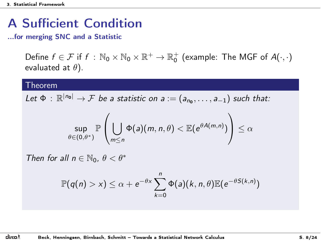# <span id="page-16-0"></span>A Sufficient Condition

...for merging SNC and a Statistic

Define  $f \in \mathcal{F}$  if  $f : \mathbb{N}_0 \times \mathbb{N}_0 \times \mathbb{R}^+ \to \mathbb{R}_0^+$  (example: The MGF of  $A(\cdot, \cdot)$ evaluated at  $\theta$ ).

#### Theorem

*Let*  $\Phi$  :  $\mathbb{R}^{|n_0|} \to \mathcal{F}$  *be a statistic on a* :=  $(a_{n_0}, \ldots, a_{-1})$  *such that:* 

$$
\sup_{\theta \in (0,\theta^*)} \mathbb{P}\left(\bigcup_{m \leq n} \Phi(a)(m,n,\theta) < \mathbb{E}(e^{\theta A(m,n)})\right) \leq \alpha
$$

*Then for all*  $n \in \mathbb{N}_0$ ,  $\theta < \theta^*$ 

$$
\mathbb{P}(q(n) > x) \leq \alpha + e^{-\theta x} \sum_{k=0}^{n} \Phi(a)(k, n, \theta) \mathbb{E}(e^{-\theta S(k,n)})
$$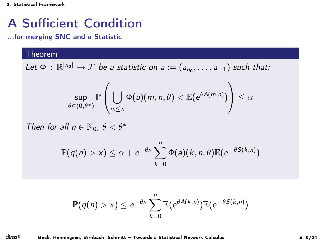# <span id="page-17-0"></span>A Sufficient Condition

...for merging SNC and a Statistic

#### **Theorem**

*Let*  $\Phi$  :  $\mathbb{R}^{|n_0|} \to \mathcal{F}$  *be a statistic on a* :=  $(a_{n_0}, \ldots, a_{-1})$  *such that:* 

$$
\sup_{\theta \in (0,\theta^*)} \mathbb{P} \left( \bigcup_{m \leq n} \Phi(a)(m,n,\theta) < \mathbb{E}(e^{\theta A(m,n)}) \right) \leq \alpha
$$

*Then for all*  $n \in \mathbb{N}_0$ ,  $\theta < \theta^*$ 

$$
\mathbb{P}(q(n) > x) \leq \alpha + e^{-\theta x} \sum_{k=0}^{n} \Phi(a)(k, n, \theta) \mathbb{E}(e^{-\theta S(k,n)})
$$

$$
\mathbb{P}(q(n) > x) \leq e^{-\theta x} \sum_{k=0}^{n} \mathbb{E}(e^{\theta A(k,n)}) \mathbb{E}(e^{-\theta S(k,n)})
$$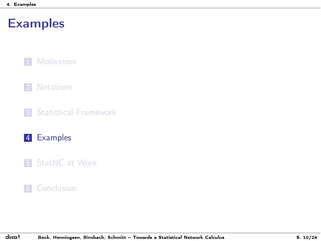#### <span id="page-18-0"></span>**1** [Motivation](#page-1-0)

#### 2 [Notations](#page-9-0)

**3** [Statistical Framework](#page-15-0)

#### 4 [Examples](#page-18-0)

5 [StatNC at Work](#page-22-0)

#### **6** [Conclusion](#page-35-0)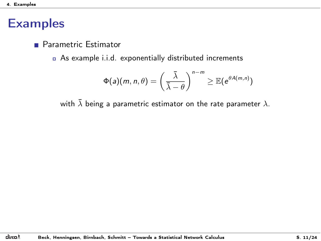<span id="page-19-0"></span>**Parametric Estimator** 

<sup>ó</sup> As example i.i.d. exponentially distributed increments

$$
\Phi(a)(m,n,\theta) = \left(\frac{\bar{\lambda}}{\bar{\lambda}-\theta}\right)^{n-m} \geq \mathbb{E}(e^{\theta A(m,n)})
$$

with  $\bar{\lambda}$  being a parametric estimator on the rate parameter  $\lambda$ .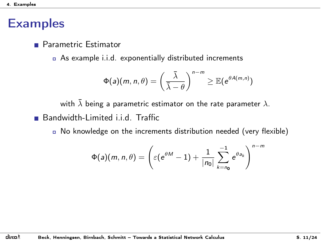<span id="page-20-0"></span>**Parametric Estimator** 

<sup>ó</sup> As example i.i.d. exponentially distributed increments

$$
\Phi(a)(m,n,\theta)=\left(\frac{\bar{\lambda}}{\bar{\lambda}-\theta}\right)^{n-m}\geq \mathbb{E}(e^{\theta A(m,n)})
$$

with  $\bar{\lambda}$  being a parametric estimator on the rate parameter  $\lambda$ . **Bandwidth-Limited i.i.d. Traffic** 

<sup>ó</sup> No knowledge on the increments distribution needed (very flexible)

$$
\Phi(a)(m,n,\theta)=\left(\varepsilon(e^{\theta M}-1)+\frac{1}{|n_0|}\sum_{k=n_0}^{-1}e^{\theta a_k}\right)^{n-m}
$$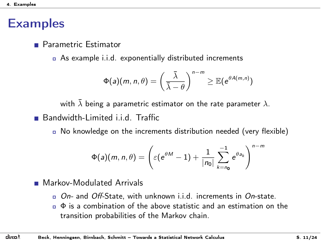<span id="page-21-0"></span>**Parametric Estimator** 

<sup>ó</sup> As example i.i.d. exponentially distributed increments

$$
\Phi(a)(m,n,\theta) = \left(\frac{\bar{\lambda}}{\bar{\lambda}-\theta}\right)^{n-m} \geq \mathbb{E}(e^{\theta A(m,n)})
$$

with  $\bar{\lambda}$  being a parametric estimator on the rate parameter  $\lambda$ . **Bandwidth-Limited i.i.d. Traffic** 

<sup>ó</sup> No knowledge on the increments distribution needed (very flexible)

$$
\Phi(a)(m,n,\theta)=\left(\varepsilon(e^{\theta M}-1)+\frac{1}{|n_0|}\sum_{k=n_0}^{-1}e^{\theta a_k}\right)^{n-m}
$$

**Markov-Modulated Arrivals** 

- <sup>ó</sup> *On-* and *O*ff*-*State, with unknown i.i.d. increments in *On*-state.
- $\sigma$   $\Phi$  is a combination of the above statistic and an estimation on the transition probabilities of the Markov chain.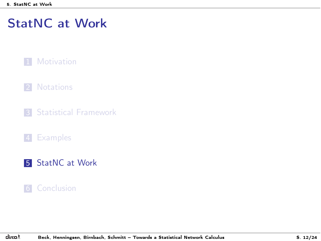#### <span id="page-22-0"></span>**1** [Motivation](#page-1-0)

#### 2 [Notations](#page-9-0)

**3** [Statistical Framework](#page-15-0)

#### 4 [Examples](#page-18-0)

5 [StatNC at Work](#page-22-0)

#### 6 [Conclusion](#page-35-0)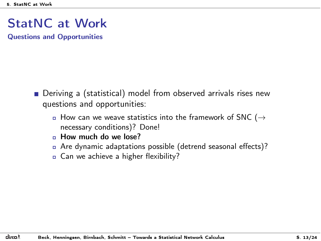<span id="page-23-0"></span>Questions and Opportunities

- Deriving a (statistical) model from observed arrivals rises new questions and opportunities:
	- $\overline{a}$  How can we weave statistics into the framework of SNC ( $\rightarrow$ necessary conditions)? Done!
	- $n$  How much do we lose?
	- <sup>ó</sup> Are dynamic adaptations possible (detrend seasonal effects)?
	- **a** Can we achieve a higher flexibility?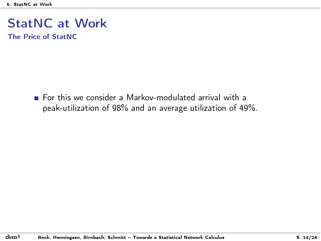<span id="page-24-0"></span>The Price of StatNC

For this we consider a Markov-modulated arrival with a peak-utilization of 98% and an average utilization of 49%.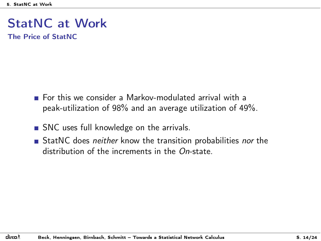<span id="page-25-0"></span>The Price of StatNC

- For this we consider a Markov-modulated arrival with a peak-utilization of 98% and an average utilization of 49%.
- SNC uses full knowledge on the arrivals.
- StatNC does *neither* know the transition probabilities *nor* the distribution of the increments in the *On*-state.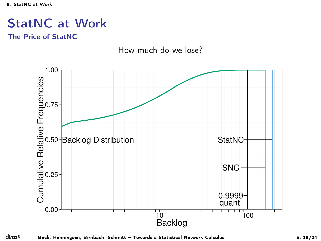<span id="page-26-0"></span>The Price of StatNC

How much do we lose?

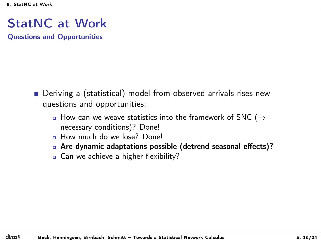<span id="page-27-0"></span>Questions and Opportunities

- Deriving a (statistical) model from observed arrivals rises new questions and opportunities:
	- $\overline{a}$  How can we weave statistics into the framework of SNC ( $\rightarrow$ necessary conditions)? Done!
	- n How much do we lose? Done!
	- □ Are dynamic adaptations possible (detrend seasonal effects)?
	- **a** Can we achieve a higher flexibility?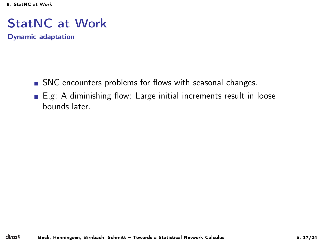<span id="page-28-0"></span>Dynamic adaptation

- SNC encounters problems for flows with seasonal changes.
- E.g: A diminishing flow: Large initial increments result in loose bounds later.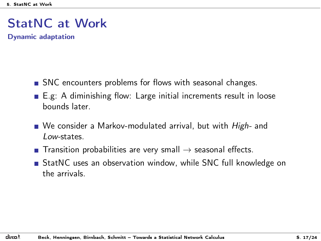<span id="page-29-0"></span>Dynamic adaptation

- SNC encounters problems for flows with seasonal changes.
- E.g: A diminishing flow: Large initial increments result in loose bounds later.
- We consider a Markov-modulated arrival, but with *High-* and *Low-*states.
- **T** Transition probabilities are very small  $\rightarrow$  seasonal effects.
- StatNC uses an observation window, while SNC full knowledge on the arrivals.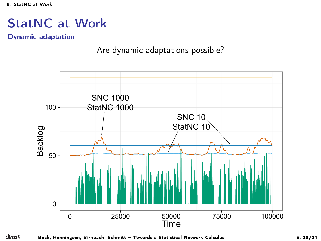<span id="page-30-0"></span>Dynamic adaptation

Are dynamic adaptations possible?

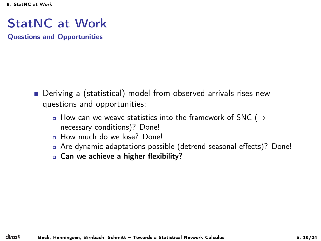<span id="page-31-0"></span>Questions and Opportunities

- Deriving a (statistical) model from observed arrivals rises new questions and opportunities:
	- $\overline{a}$  How can we weave statistics into the framework of SNC ( $\rightarrow$ necessary conditions)? Done!
	- n How much do we lose? Done!
	- <sup>ó</sup> Are dynamic adaptations possible (detrend seasonal effects)? Done!
	- **c** Can we achieve a higher flexibility?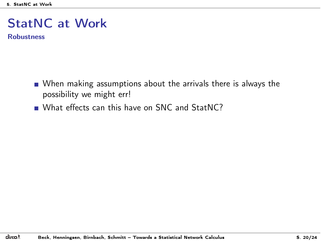<span id="page-32-0"></span>Robustness

- When making assumptions about the arrivals there is always the possibility we might err!
- What effects can this have on SNC and StatNC?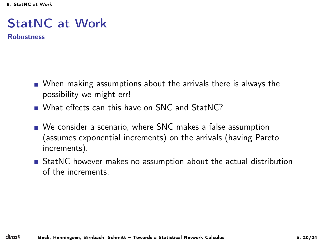<span id="page-33-0"></span>Robustness

- When making assumptions about the arrivals there is always the possibility we might err!
- What effects can this have on SNC and StatNC?
- We consider a scenario, where SNC makes a false assumption (assumes exponential increments) on the arrivals (having Pareto increments).
- StatNC however makes no assumption about the actual distribution of the increments.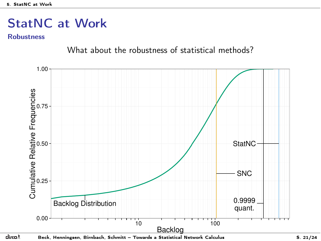#### <span id="page-34-0"></span>Robustness

What about the robustness of statistical methods?

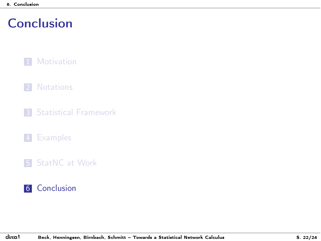## <span id="page-35-0"></span>**[Conclusion](#page-35-0)**

#### **1** [Motivation](#page-1-0)

#### 2 [Notations](#page-9-0)

- **3** [Statistical Framework](#page-15-0)
- 4 [Examples](#page-18-0)
- 5 [StatNC at Work](#page-22-0)

#### 6 [Conclusion](#page-35-0)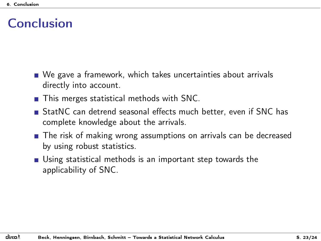### <span id="page-36-0"></span>Conclusion

- We gave a framework, which takes uncertainties about arrivals directly into account.
- **This merges statistical methods with SNC.**
- StatNC can detrend seasonal effects much better, even if SNC has complete knowledge about the arrivals.
- **The risk of making wrong assumptions on arrivals can be decreased** by using robust statistics.
- Using statistical methods is an important step towards the applicability of SNC.